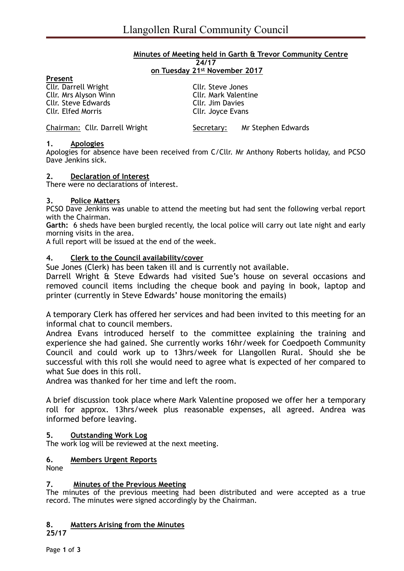#### **Minutes of Meeting held in Garth & Trevor Community Centre 24/17 on Tuesday 21st November 2017**

| Present                        |                             |                    |
|--------------------------------|-----------------------------|--------------------|
| <b>Cllr. Darrell Wright</b>    | Cllr. Steve Jones           |                    |
| Cllr. Mrs Alyson Winn          | <b>Cllr. Mark Valentine</b> |                    |
| <b>Cllr. Steve Edwards</b>     | Cllr. Jim Davies            |                    |
| <b>Cllr. Elfed Morris</b>      | Cllr. Joyce Evans           |                    |
|                                |                             |                    |
| Chairman: Cllr. Darrell Wright | Secretary:                  | Mr Stephen Edwards |

## **1. Apologies**

Apologies for absence have been received from C/Cllr. Mr Anthony Roberts holiday, and PCSO Dave Jenkins sick.

#### **2. Declaration of Interest**

There were no declarations of interest.

#### **3. Police Matters**

PCSO Dave Jenkins was unable to attend the meeting but had sent the following verbal report with the Chairman.

**Garth:** 6 sheds have been burgled recently, the local police will carry out late night and early morning visits in the area.

A full report will be issued at the end of the week.

## **4. Clerk to the Council availability/cover**

Sue Jones (Clerk) has been taken ill and is currently not available.

Darrell Wright & Steve Edwards had visited Sue's house on several occasions and removed council items including the cheque book and paying in book, laptop and printer (currently in Steve Edwards' house monitoring the emails)

A temporary Clerk has offered her services and had been invited to this meeting for an informal chat to council members.

Andrea Evans introduced herself to the committee explaining the training and experience she had gained. She currently works 16hr/week for Coedpoeth Community Council and could work up to 13hrs/week for Llangollen Rural. Should she be successful with this roll she would need to agree what is expected of her compared to what Sue does in this roll.

Andrea was thanked for her time and left the room.

A brief discussion took place where Mark Valentine proposed we offer her a temporary roll for approx. 13hrs/week plus reasonable expenses, all agreed. Andrea was informed before leaving.

## **5. Outstanding Work Log**

The work log will be reviewed at the next meeting.

## **6. Members Urgent Reports**

None

## **7. Minutes of the Previous Meeting**

The minutes of the previous meeting had been distributed and were accepted as a true record. The minutes were signed accordingly by the Chairman.

# **8. Matters Arising from the Minutes**

**25/17**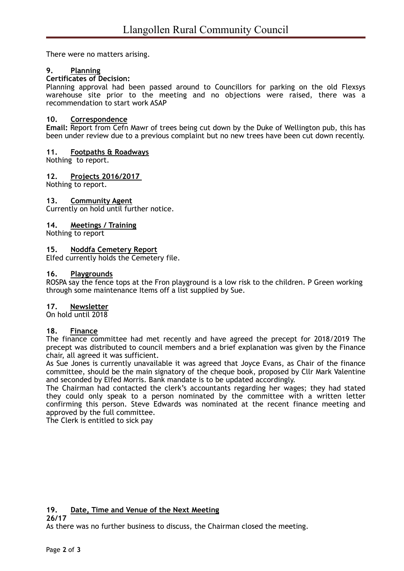There were no matters arising.

# **9. Planning**

## **Certificates of Decision:**

Planning approval had been passed around to Councillors for parking on the old Flexsys warehouse site prior to the meeting and no objections were raised, there was a recommendation to start work ASAP

## **10. Correspondence**

**Email:** Report from Cefn Mawr of trees being cut down by the Duke of Wellington pub, this has been under review due to a previous complaint but no new trees have been cut down recently.

## **11. Footpaths & Roadways**

Nothing to report.

## **12. Projects 2016/2017**

Nothing to report.

## **13. Community Agent**

Currently on hold until further notice.

## **14. Meetings / Training**

Nothing to report

# **15. Noddfa Cemetery Report**

Elfed currently holds the Cemetery file.

#### **16. Playgrounds**

ROSPA say the fence tops at the Fron playground is a low risk to the children. P Green working through some maintenance Items off a list supplied by Sue.

## **17. Newsletter**

On hold until 2018

## **18. Finance**

The finance committee had met recently and have agreed the precept for 2018/2019 The precept was distributed to council members and a brief explanation was given by the Finance chair, all agreed it was sufficient.

As Sue Jones is currently unavailable it was agreed that Joyce Evans, as Chair of the finance committee, should be the main signatory of the cheque book, proposed by Cllr Mark Valentine and seconded by Elfed Morris. Bank mandate is to be updated accordingly.

The Chairman had contacted the clerk's accountants regarding her wages; they had stated they could only speak to a person nominated by the committee with a written letter confirming this person. Steve Edwards was nominated at the recent finance meeting and approved by the full committee.

The Clerk is entitled to sick pay

# **19. Date, Time and Venue of the Next Meeting**

**26/17** 

As there was no further business to discuss, the Chairman closed the meeting.